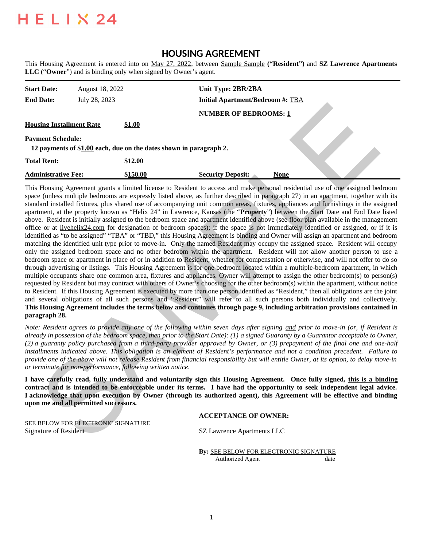# **HELIX 24**

# **HOUSING AGREEMENT**

This Housing Agreement is entered into on May 27, 2022, between Sample Sample **("Resident")** and **SZ Lawrence Apartments LLC** ("**Owner**") and is binding only when signed by Owner's agent.

| <b>Start Date:</b><br><b>End Date:</b>                      | August 18, 2022<br>July 28, 2023 |                                                                                     | Unit Type: 2BR/2BA<br><b>Initial Apartment/Bedroom #: TBA</b> |      |
|-------------------------------------------------------------|----------------------------------|-------------------------------------------------------------------------------------|---------------------------------------------------------------|------|
| <b>Housing Installment Rate</b><br><b>Payment Schedule:</b> |                                  | <b>\$1.00</b><br>12 payments of \$1.00 each, due on the dates shown in paragraph 2. | <b>NUMBER OF BEDROOMS: 1</b>                                  |      |
| <b>Total Rent:</b><br><b>Administrative Fee:</b>            |                                  | \$12.00<br>\$150.00                                                                 | <b>Security Deposit:</b>                                      | None |

This Housing Agreement grants a limited license to Resident to access and make personal residential use of one assigned bedroom space (unless multiple bedrooms are expressly listed above, as further described in paragraph 27) in an apartment, together with its standard installed fixtures, plus shared use of accompanying unit common areas, fixtures, appliances and furnishings in the assigned apartment, at the property known as "Helix 24" in Lawrence, Kansas (the "**Property**") between the Start Date and End Date listed above. Resident is initially assigned to the bedroom space and apartment identified above (see floor plan available in the management office or at livehelix24.com for designation of bedroom spaces); if the space is not immediately identified or assigned, or if it is identified as "to be assigned" "TBA" or "TBD," this Housing Agreement is binding and Owner will assign an apartment and bedroom matching the identified unit type prior to move-in. Only the named Resident may occupy the assigned space. Resident will occupy only the assigned bedroom space and no other bedroom within the apartment. Resident will not allow another person to use a bedroom space or apartment in place of or in addition to Resident, whether for compensation or otherwise, and will not offer to do so through advertising or listings. This Housing Agreement is for one bedroom located within a multiple-bedroom apartment, in which multiple occupants share one common area, fixtures and appliances. Owner will attempt to assign the other bedroom(s) to person(s) requested by Resident but may contract with others of Owner's choosing for the other bedroom(s) within the apartment, without notice to Resident. If this Housing Agreement is executed by more than one person identified as "Resident," then all obligations are the joint and several obligations of all such persons and "Resident" will refer to all such persons both individually and collectively. **This Housing Agreement includes the terms below and continues through page 9, including arbitration provisions contained in paragraph 28.** Example and the state of control in a state of control in the state of the state of the state of the state of the state of the state of the state of the state of the state of the state of the state of the state of the sta

*Note: Resident agrees to provide any one of the following within seven days after signing and prior to move-in (or, if Resident is already in possession of the bedroom space, then prior to the Start Date): (1) a signed Guaranty by a Guarantor acceptable to Owner, (2) a guaranty policy purchased from a third-party provider approved by Owner, or (3) prepayment of the final one and one-half installments indicated above. This obligation is an element of Resident's performance and not a condition precedent. Failure to provide one of the above will not release Resident from financial responsibility but will entitle Owner, at its option, to delay move-in or terminate for non-performance, following written notice.*

**I have carefully read, fully understand and voluntarily sign this Housing Agreement. Once fully signed, this is a binding contract and is intended to be enforceable under its terms. I have had the opportunity to seek independent legal advice. I acknowledge that upon execution by Owner (through its authorized agent), this Agreement will be effective and binding upon me and all permitted successors.**

# **ACCEPTANCE OF OWNER:**

SEE BELOW FOR ELECTRONIC SIGNATURE Signature of Resident SZ Lawrence Apartments LLC

**By:** SEE BELOW FOR ELECTRONIC SIGNATURE Authorized Agent date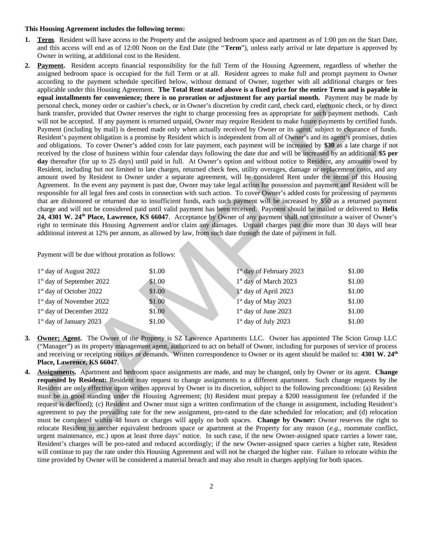#### **This Housing Agreement includes the following terms:**

- **1. Term**. Resident will have access to the Property and the assigned bedroom space and apartment as of 1:00 pm on the Start Date, and this access will end as of 12:00 Noon on the End Date (the "**Term**"), unless early arrival or late departure is approved by Owner in writing, at additional cost to the Resident.
- **2. Payment.** Resident accepts financial responsibility for the full Term of the Housing Agreement, regardless of whether the assigned bedroom space is occupied for the full Term or at all. Resident agrees to make full and prompt payment to Owner according to the payment schedule specified below, without demand of Owner, together with all additional charges or fees applicable under this Housing Agreement. **The Total Rent stated above is a fixed price for the entire Term and is payable in equal installments for convenience; there is no proration or adjustment for any partial month.** Payment may be made by personal check, money order or cashier's check, or in Owner's discretion by credit card, check card, electronic check, or by direct bank transfer, provided that Owner reserves the right to charge processing fees as appropriate for such payment methods. Cash will not be accepted. If any payment is returned unpaid, Owner may require Resident to make future payments by certified funds. Payment (including by mail) is deemed made only when actually received by Owner or its agent, subject to clearance of funds. Resident's payment obligation is a promise by Resident which is independent from all of Owner's and its agent's promises, duties and obligations. To cover Owner's added costs for late payment, each payment will be increased by **\$30** as a late charge if not received by the close of business within four calendar days following the date due and will be increased by an additional **\$5 per day** thereafter (for up to 25 days) until paid in full. At Owner's option and without notice to Resident, any amounts owed by Resident, including but not limited to late charges, returned check fees, utility overages, damage or replacement costs, and any amount owed by Resident to Owner under a separate agreement, will be considered Rent under the terms of this Housing Agreement. In the event any payment is past due, Owner may take legal action for possession and payment and Resident will be responsible for all legal fees and costs in connection with such action. To cover Owner's added costs for processing of payments that are dishonored or returned due to insufficient funds, each such payment will be increased by \$50 as a returned payment charge and will not be considered paid until valid payment has been received. Payment should be mailed or delivered to **Helix 24, 4301 W. 24th Place, Lawrence, KS 66047**. Acceptance by Owner of any payment shall not constitute a waiver of Owner's right to terminate this Housing Agreement and/or claim any damages. Unpaid charges past due more than 30 days will bear additional interest at 12% per annum, as allowed by law, from such date through the date of payment in full. personal check, money roter or cashed 's check, or in Oxen's discretized by Gredi Trint, check case, designing the computer of the computer of the proposed if any payment in the account of the proposed in the propose of t

Payment will be due without proration as follows:

| 1 <sup>st</sup> day of August 2022    | \$1.00 | $1st$ day of February 2023        | \$1.00 |
|---------------------------------------|--------|-----------------------------------|--------|
| 1 <sup>st</sup> day of September 2022 | \$1.00 | 1 <sup>st</sup> day of March 2023 | \$1.00 |
| 1 <sup>st</sup> day of October 2022   | \$1.00 | $1st$ day of April 2023           | \$1.00 |
| 1 <sup>st</sup> day of November 2022  | \$1.00 | 1 <sup>st</sup> day of May 2023   | \$1.00 |
| 1 <sup>st</sup> day of December 2022  | \$1.00 | $1st$ day of June 2023            | \$1.00 |
| $1st$ day of January 2023             | \$1.00 | $1st$ day of July 2023            | \$1.00 |

- **3. Owner; Agent.** The Owner of the Property is SZ Lawrence Apartments LLC. Owner has appointed The Scion Group LLC ("Manager") as its property management agent, authorized to act on behalf of Owner, including for purposes of service of process and receiving or receipting notices or demands. Written correspondence to Owner or its agent should be mailed to: **4301 W. 24th Place, Lawrence, KS 66047**.
- **4. Assignments.** Apartment and bedroom space assignments are made, and may be changed, only by Owner or its agent. **Change requested by Resident:** Resident may request to change assignments to a different apartment. Such change requests by the Resident are only effective upon written approval by Owner in its discretion, subject to the following preconditions: (a) Resident must be in good standing under the Housing Agreement; (b) Resident must prepay a \$200 reassignment fee (refunded if the request is declined); (c) Resident and Owner must sign a written confirmation of the change in assignment, including Resident's agreement to pay the prevailing rate for the new assignment, pro-rated to the date scheduled for relocation; and (d) relocation must be completed within 48 hours or charges will apply on both spaces. **Change by Owner:** Owner reserves the right to relocate Resident to another equivalent bedroom space or apartment at the Property for any reason (*e.g.,* roommate conflict, urgent maintenance, etc.) upon at least three days' notice. In such case, if the new Owner-assigned space carries a lower rate, Resident's charges will be pro-rated and reduced accordingly; if the new Owner-assigned space carries a higher rate, Resident will continue to pay the rate under this Housing Agreement and will not be charged the higher rate. Failure to relocate within the time provided by Owner will be considered a material breach and may also result in charges applying for both spaces.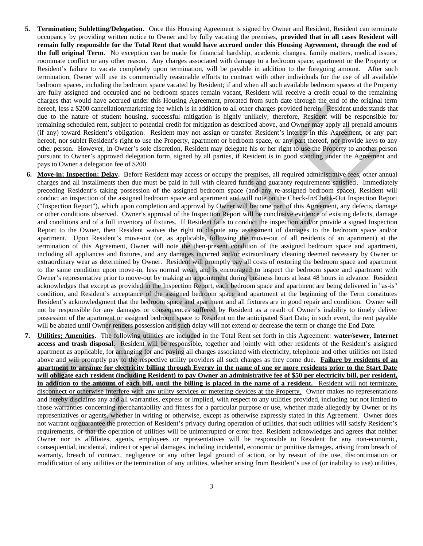- **5. Termination; Subletting/Delegation.** Once this Housing Agreement is signed by Owner and Resident, Resident can terminate occupancy by providing written notice to Owner and by fully vacating the premises, **provided that in all cases Resident will remain fully responsible for the Total Rent that would have accrued under this Housing Agreement, through the end of the full original Term**. No exception can be made for financial hardship, academic changes, family matters, medical issues, roommate conflict or any other reason. Any charges associated with damage to a bedroom space, apartment or the Property or Resident's failure to vacate completely upon termination, will be payable in addition to the foregoing amount. After such termination, Owner will use its commercially reasonable efforts to contract with other individuals for the use of all available bedroom spaces, including the bedroom space vacated by Resident; if and when all such available bedroom spaces at the Property are fully assigned and occupied and no bedroom spaces remain vacant, Resident will receive a credit equal to the remaining charges that would have accrued under this Housing Agreement, prorated from such date through the end of the original term hereof, less a \$200 cancellation/marketing fee which is in addition to all other charges provided herein. Resident understands that due to the nature of student housing, successful mitigation is highly unlikely; therefore, Resident will be responsible for remaining scheduled rent, subject to potential credit for mitigation as described above, and Owner may apply all prepaid amounts (if any) toward Resident's obligation. Resident may not assign or transfer Resident's interest in this Agreement, or any part hereof, nor sublet Resident's right to use the Property, apartment or bedroom space, or any part thereof, nor provide keys to any other person. However, in Owner's sole discretion, Resident may delegate his or her right to use the Property to another person pursuant to Owner's approved delegation form, signed by all parties, if Resident is in good standing under the Agreement and pays to Owner a delegation fee of \$200.
- **6. Move-in; Inspection; Delay.** Before Resident may access or occupy the premises, all required administrative fees, other annual charges and all installments then due must be paid in full with cleared funds and guaranty requirements satisfied. Immediately preceding Resident's taking possession of the assigned bedroom space (and any re-assigned bedroom space), Resident will conduct an inspection of the assigned bedroom space and apartment and will note on the Check-In/Check-Out Inspection Report ("Inspection Report"), which upon completion and approval by Owner will become part of this Agreement, any defects, damage or other conditions observed. Owner's approval of the Inspection Report will be conclusive evidence of existing defects, damage and conditions and of a full inventory of fixtures. If Resident fails to conduct the inspection and/or provide a signed Inspection Report to the Owner, then Resident waives the right to dispute any assessment of damages to the bedroom space and/or apartment. Upon Resident's move-out (or, as applicable, following the move-out of all residents of an apartment) at the termination of this Agreement, Owner will note the then-present condition of the assigned bedroom space and apartment, including all appliances and fixtures, and any damages incurred and/or extraordinary cleaning deemed necessary by Owner or extraordinary wear as determined by Owner. Resident will promptly pay all costs of restoring the bedroom space and apartment to the same condition upon move-in, less normal wear, and is encouraged to inspect the bedroom space and apartment with Owner's representative prior to move-out by making an appointment during business hours at least 48 hours in advance. Resident acknowledges that except as provided in the Inspection Report, each bedroom space and apartment are being delivered in "as-is" condition, and Resident's acceptance of the assigned bedroom space and apartment at the beginning of the Term constitutes Resident's acknowledgment that the bedroom space and apartment and all fixtures are in good repair and condition. Owner will not be responsible for any damages or consequences suffered by Resident as a result of Owner's inability to timely deliver possession of the apartment or assigned bedroom space to Resident on the anticipated Start Date; in such event, the rent payable will be abated until Owner renders possession and such delay will not extend or decrease the term or change the End Date. head leads to 2000 canceled about the media in the distinction of the system of the system of the system of the system of the system of the system of the system of the system of the system of the system of the system of t
- **7. Utilities; Amenities.** The following utilities are included in the Total Rent set forth in this Agreement: **water/sewer, Internet access and trash disposal**. Resident will be responsible, together and jointly with other residents of the Resident's assigned apartment as applicable, for arranging for and paying all charges associated with electricity, telephone and other utilities not listed above and will promptly pay to the respective utility providers all such charges as they come due. **Failure by residents of an apartment to arrange for electricity billing through Evergy in the name of one or more residents prior to the Start Date will obligate each resident (including Resident) to pay Owner an administrative fee of \$50 per electricity bill, per resident, in addition to the amount of each bill, until the billing is placed in the name of a resident.** Resident will not terminate, disconnect or otherwise interfere with any utility services or metering devices at the Property. Owner makes no representations and hereby disclaims any and all warranties, express or implied, with respect to any utilities provided, including but not limited to those warranties concerning merchantability and fitness for a particular purpose or use, whether made allegedly by Owner or its representatives or agents, whether in writing or otherwise, except as otherwise expressly stated in this Agreement. Owner does not warrant or guarantee the protection of Resident's privacy during operation of utilities, that such utilities will satisfy Resident's requirements, or that the operation of utilities will be uninterrupted or error free. Resident acknowledges and agrees that neither Owner nor its affiliates, agents, employees or representatives will be responsible to Resident for any non-economic, consequential, incidental, indirect or special damages, including incidental, economic or punitive damages, arising from breach of warranty, breach of contract, negligence or any other legal ground of action, or by reason of the use, discontinuation or modification of any utilities or the termination of any utilities, whether arising from Resident's use of (or inability to use) utilities,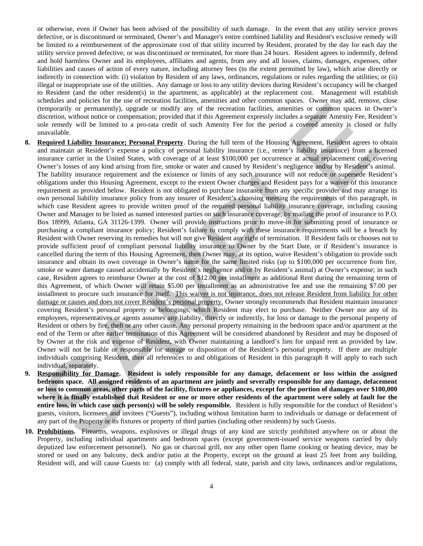or otherwise, even if Owner has been advised of the possibility of such damage. In the event that any utility service proves defective, or is discontinued or terminated, Owner's and Manager's entire combined liability and Resident's exclusive remedy will be limited to a reimbursement of the approximate cost of that utility incurred by Resident, prorated by the day for each day the utility service proved defective, or was discontinued or terminated, for more than 24 hours. Resident agrees to indemnify, defend and hold harmless Owner and its employees, affiliates and agents, from any and all losses, claims, damages, expenses, other liabilities and causes of action of every nature, including attorney fees (to the extent permitted by law), which arise directly or indirectly in connection with: (i) violation by Resident of any laws, ordinances, regulations or rules regarding the utilities; or (ii) illegal or inappropriate use of the utilities. Any damage or loss to any utility devices during Resident's occupancy will be charged to Resident (and the other resident(s) in the apartment, as applicable) at the replacement cost. Management will establish schedules and policies for the use of recreation facilities, amenities and other common spaces. Owner may add, remove, close (temporarily or permanently), upgrade or modify any of the recreation facilities, amenities or common spaces in Owner's discretion, without notice or compensation; provided that if this Agreement expressly includes a separate Amenity Fee, Resident's sole remedy will be limited to a pro-rata credit of such Amenity Fee for the period a covered amenity is closed or fully unavailable.

- **8. Required Liability Insurance; Personal Property**. During the full term of the Housing Agreement, Resident agrees to obtain and maintain at Resident's expense a policy of personal liability insurance (i.e., renter's liability insurance) from a licensed insurance carrier in the United States, with coverage of at least \$100,000 per occurrence at actual replacement cost, covering Owner's losses of any kind arising from fire, smoke or water and caused by Resident's negligence and/or by Resident's animal. The liability insurance requirement and the existence or limits of any such insurance will not reduce or supersede Resident's obligations under this Housing Agreement, except to the extent Owner charges and Resident pays for a waiver of this insurance requirement as provided below. Resident is not obligated to purchase insurance from any specific provider and may arrange its own personal liability insurance policy from any insurer of Resident's choosing meeting the requirements of this paragraph, in which case Resident agrees to provide written proof of the required personal liability insurance coverage, including causing Owner and Manager to be listed as named interested parties on such insurance coverage, by mailing the proof of insurance to P.O. Box 18999, Atlanta, GA 31126-1399. Owner will provide instructions prior to move-in for submitting proof of insurance or purchasing a compliant insurance policy; Resident's failure to comply with these insurance requirements will be a breach by Resident with Owner reserving its remedies but will not give Resident any right of termination. If Resident fails or chooses not to provide sufficient proof of compliant personal liability insurance to Owner by the Start Date, or if Resident's insurance is cancelled during the term of this Housing Agreement, then Owner may, at its option, waive Resident's obligation to provide such insurance and obtain its own coverage in Owner's name for the same limited risks (up to \$100,000 per occurrence from fire, smoke or water damage caused accidentally by Resident's negligence and/or by Resident's animal) at Owner's expense; in such case, Resident agrees to reimburse Owner at the cost of \$12.00 per installment as additional Rent during the remaining term of this Agreement, of which Owner will retain \$5.00 per installment as an administrative fee and use the remaining \$7.00 per installment to procure such insurance for itself. This waiver is not insurance, does not release Resident from liability for other damage or causes and does not cover Resident's personal property. Owner strongly recommends that Resident maintain insurance covering Resident's personal property or belongings, which Resident may elect to purchase. Neither Owner nor any of its employees, representatives or agents assumes any liability, directly or indirectly, for loss or damage to the personal property of Resident or others by fire, theft or any other cause. Any personal property remaining in the bedroom space and/or apartment at the end of the Term or after earlier termination of this Agreement will be considered abandoned by Resident and may be disposed of by Owner at the risk and expense of Resident, with Owner maintaining a landlord's lien for unpaid rent as provided by law. Owner will not be liable or responsible for storage or disposition of the Resident's personal property. If there are multiple individuals comprising Resident, then all references to and obligations of Resident in this paragraph 8 will apply to each such individual, separately. Command the process and the matter in the section of the recent of the section of the section of the section of the section of the section of the section of the section of the section of the section of the section of the
- **9. Responsibility for Damage. Resident is solely responsible for any damage, defacement or loss within the assigned bedroom space. All assigned residents of an apartment are jointly and severally responsible for any damage, defacement or loss to common areas, other parts of the facility, fixtures or appliances, except for the portion of damages over \$100,000 where it is finally established that Resident or one or more other residents of the apartment were solely at fault for the entire loss, in which case such person(s) will be solely responsible.** Resident is fully responsible for the conduct of Resident's guests, visitors, licensees and invitees ("Guests"), including without limitation harm to individuals or damage or defacement of any part of the Property or its fixtures or property of third parties (including other residents) by such Guests.
- **10. Prohibitions.** Firearms, weapons, explosives or illegal drugs of any kind are strictly prohibited anywhere on or about the Property, including individual apartments and bedroom spaces (except government-issued service weapons carried by duly deputized law enforcement personnel). No gas or charcoal grill, nor any other open flame cooking or heating device, may be stored or used on any balcony, deck and/or patio at the Property, except on the ground at least 25 feet from any building. Resident will, and will cause Guests to: (a) comply with all federal, state, parish and city laws, ordinances and/or regulations,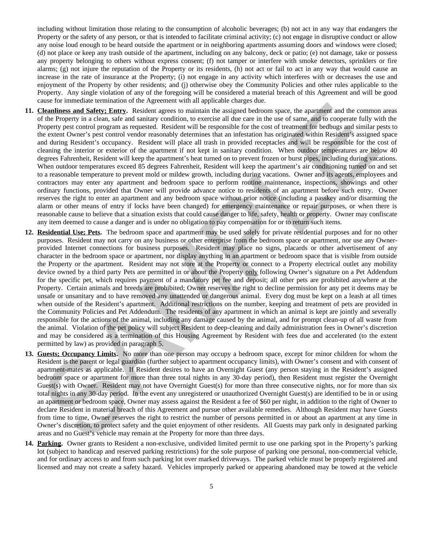including without limitation those relating to the consumption of alcoholic beverages; (b) not act in any way that endangers the Property or the safety of any person, or that is intended to facilitate criminal activity; (c) not engage in disruptive conduct or allow any noise loud enough to be heard outside the apartment or in neighboring apartments assuming doors and windows were closed; (d) not place or keep any trash outside of the apartment, including on any balcony, deck or patio; (e) not damage, take or possess any property belonging to others without express consent; (f) not tamper or interfere with smoke detectors, sprinklers or fire alarms; (g) not injure the reputation of the Property or its residents, (h) not act or fail to act in any way that would cause an increase in the rate of insurance at the Property; (i) not engage in any activity which interferes with or decreases the use and enjoyment of the Property by other residents; and (j) otherwise obey the Community Policies and other rules applicable to the Property. Any single violation of any of the foregoing will be considered a material breach of this Agreement and will be good cause for immediate termination of the Agreement with all applicable charges due.

- **11. Cleanliness and Safety; Entry.** Resident agrees to maintain the assigned bedroom space, the apartment and the common areas of the Property in a clean, safe and sanitary condition, to exercise all due care in the use of same, and to cooperate fully with the Property pest control program as requested. Resident will be responsible for the cost of treatment for bedbugs and similar pests to the extent Owner's pest control vendor reasonably determines that an infestation has originated within Resident's assigned space and during Resident's occupancy. Resident will place all trash in provided receptacles and will be responsible for the cost of cleaning the interior or exterior of the apartment if not kept in sanitary condition. When outdoor temperatures are below 40 degrees Fahrenheit, Resident will keep the apartment's heat turned on to prevent frozen or burst pipes, including during vacations. When outdoor temperatures exceed 85 degrees Fahrenheit, Resident will keep the apartment's air conditioning turned on and set to a reasonable temperature to prevent mold or mildew growth, including during vacations. Owner and its agents, employees and contractors may enter any apartment and bedroom space to perform routine maintenance, inspections, showings and other ordinary functions, provided that Owner will provide advance notice to residents of an apartment before such entry. Owner reserves the right to enter an apartment and any bedroom space without prior notice (including a passkey and/or disarming the alarm or other means of entry if locks have been changed) for emergency maintenance or repair purposes, or when there is reasonable cause to believe that a situation exists that could cause danger to life, safety, health or property. Owner may confiscate any item deemed to cause a danger and is under no obligation to pay compensation for or to return such items. Leading on machine contained to the specific and the contained section and the component of the specific of the specific state of the specific state of the specific state of the specific state of the Freehom space of the F
- **12. Residential Use; Pets.** The bedroom space and apartment may be used solely for private residential purposes and for no other purposes. Resident may not carry on any business or other enterprise from the bedroom space or apartment, nor use any Ownerprovided Internet connections for business purposes. Resident may place no signs, placards or other advertisement of any character in the bedroom space or apartment, nor display anything in an apartment or bedroom space that is visible from outside the Property or the apartment. Resident may not store at the Property or connect to a Property electrical outlet any mobility device owned by a third party Pets are permitted in or about the Property only following Owner's signature on a Pet Addendum for the specific pet, which requires payment of a mandatory pet fee and deposit; all other pets are prohibited anywhere at the Property. Certain animals and breeds are prohibited; Owner reserves the right to decline permission for any pet it deems may be unsafe or unsanitary and to have removed any unattended or dangerous animal. Every dog must be kept on a leash at all times when outside of the Resident's apartment. Additional restrictions on the number, keeping and treatment of pets are provided in the Community Policies and Pet Addendum. The residents of any apartment in which an animal is kept are jointly and severally responsible for the actions of the animal, including any damage caused by the animal, and for prompt clean-up of all waste from the animal. Violation of the pet policy will subject Resident to deep-cleaning and daily administration fees in Owner's discretion and may be considered as a termination of this Housing Agreement by Resident with fees due and accelerated (to the extent permitted by law) as provided in paragraph 5.
- **13. Guests; Occupancy Limits.** No more than one person may occupy a bedroom space, except for minor children for whom the Resident is the parent or legal guardian (further subject to apartment occupancy limits), with Owner's consent and with consent of apartment-mates as applicable. If Resident desires to have an Overnight Guest (any person staying in the Resident's assigned bedroom space or apartment for more than three total nights in any 30-day period), then Resident must register the Overnight Guest(s) with Owner. Resident may not have Overnight Guest(s) for more than three consecutive nights, nor for more than six total nights in any 30-day period. In the event any unregistered or unauthorized Overnight Guest(s) are identified to be in or using an apartment or bedroom space, Owner may assess against the Resident a fee of \$60 per night, in addition to the right of Owner to declare Resident in material breach of this Agreement and pursue other available remedies. Although Resident may have Guests from time to time, Owner reserves the right to restrict the number of persons permitted in or about an apartment at any time in Owner's discretion, to protect safety and the quiet enjoyment of other residents. All Guests may park only in designated parking areas and no Guest's vehicle may remain at the Property for more than three days.
- **14. Parking.** Owner grants to Resident a non-exclusive, undivided limited permit to use one parking spot in the Property's parking lot (subject to handicap and reserved parking restrictions) for the sole purpose of parking one personal, non-commercial vehicle, and for ordinary access to and from such parking lot over marked driveways. The parked vehicle must be properly registered and licensed and may not create a safety hazard. Vehicles improperly parked or appearing abandoned may be towed at the vehicle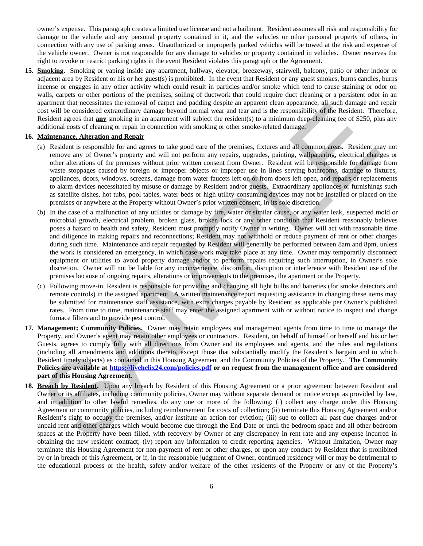owner's expense. This paragraph creates a limited use license and not a bailment. Resident assumes all risk and responsibility for damage to the vehicle and any personal property contained in it, and the vehicles or other personal property of others, in connection with any use of parking areas. Unauthorized or improperly parked vehicles will be towed at the risk and expense of the vehicle owner. Owner is not responsible for any damage to vehicles or property contained in vehicles. Owner reserves the right to revoke or restrict parking rights in the event Resident violates this paragraph or the Agreement.

**15. Smoking.** Smoking or vaping inside any apartment, hallway, elevator, breezeway, stairwell, balcony, patio or other indoor or adjacent area by Resident or his or her guest(s) is prohibited. In the event that Resident or any guest smokes, burns candles, burns incense or engages in any other activity which could result in particles and/or smoke which tend to cause staining or odor on walls, carpets or other portions of the premises, soiling of ductwork that could require duct cleaning or a persistent odor in an apartment that necessitates the removal of carpet and padding despite an apparent clean appearance, all such damage and repair cost will be considered extraordinary damage beyond normal wear and tear and is the responsibility of the Resident. Therefore, Resident agrees that **any** smoking in an apartment will subject the resident(s) to a minimum deep-cleaning fee of \$250, plus any additional costs of cleaning or repair in connection with smoking or other smoke-related damage.

### **16. Maintenance, Alteration and Repair**

- (a) Resident is responsible for and agrees to take good care of the premises, fixtures and all common areas. Resident may not remove any of Owner's property and will not perform any repairs, upgrades, painting, wallpapering, electrical changes or other alterations of the premises without prior written consent from Owner. Resident will be responsible for damage from waste stoppages caused by foreign or improper objects or improper use in lines serving bathrooms, damage to fixtures, appliances, doors, windows, screens, damage from water faucets left on or from doors left open, and repairs or replacements to alarm devices necessitated by misuse or damage by Resident and/or guests. Extraordinary appliances or furnishings such as satellite dishes, hot tubs, pool tables, water beds or high utility-consuming devices may not be installed or placed on the premises or anywhere at the Property without Owner's prior written consent, in its sole discretion.
- (b) In the case of a malfunction of any utilities or damage by fire, water or similar cause, or any water leak, suspected mold or microbial growth, electrical problem, broken glass, broken lock or any other condition that Resident reasonably believes poses a hazard to health and safety, Resident must promptly notify Owner in writing. Owner will act with reasonable time and diligence in making repairs and reconnections; Resident may not withhold or reduce payment of rent or other charges during such time. Maintenance and repair requested by Resident will generally be performed between 8am and 8pm, unless the work is considered an emergency, in which case work may take place at any time. Owner may temporarily disconnect equipment or utilities to avoid property damage and/or to perform repairs requiring such interruption, in Owner's sole discretion. Owner will not be liable for any inconvenience, discomfort, disruption or interference with Resident use of the premises because of ongoing repairs, alterations or improvements to the premises, the apartment or the Property. appeared that necessariles the removal of capital and particular supported that and demonstrate the results of the results of the results of the results of the results of the results of the results of the results of the re
- (c) Following move-in, Resident is responsible for providing and changing all light bulbs and batteries (for smoke detectors and remote controls) in the assigned apartment. A written maintenance report requesting assistance in changing these items may be submitted for maintenance staff assistance, with extra charges payable by Resident as applicable per Owner's published rates. From time to time, maintenance staff may enter the assigned apartment with or without notice to inspect and change furnace filters and to provide pest control.
- **17. Management; Community Policies.** Owner may retain employees and management agents from time to time to manage the Property, and Owner's agent may retain other employees or contractors. Resident, on behalf of himself or herself and his or her Guests, agrees to comply fully with all directions from Owner and its employees and agents, and the rules and regulations (including all amendments and additions thereto, except those that substantially modify the Resident's bargain and to which Resident timely objects) as contained in this Housing Agreement and the Community Policies of the Property. **The Community Policies are available at https://livehelix24.com/policies.pdf or on request from the management office and are considered part of this Housing Agreement.**
- **18. Breach by Resident.** Upon any breach by Resident of this Housing Agreement or a prior agreement between Resident and Owner or its affiliates, including community policies, Owner may without separate demand or notice except as provided by law, and in addition to other lawful remedies, do any one or more of the following: (i) collect any charge under this Housing Agreement or community policies, including reimbursement for costs of collection; (ii) terminate this Housing Agreement and/or Resident's right to occupy the premises, and/or institute an action for eviction; (iii) sue to collect all past due charges and/or unpaid rent and other charges which would become due through the End Date or until the bedroom space and all other bedroom spaces at the Property have been filled, with recovery by Owner of any discrepancy in rent rate and any expense incurred in obtaining the new resident contract; (iv) report any information to credit reporting agencies. Without limitation, Owner may terminate this Housing Agreement for non-payment of rent or other charges, or upon any conduct by Resident that is prohibited by or in breach of this Agreement, or if, in the reasonable judgment of Owner, continued residency will or may be detrimental to the educational process or the health, safety and/or welfare of the other residents of the Property or any of the Property's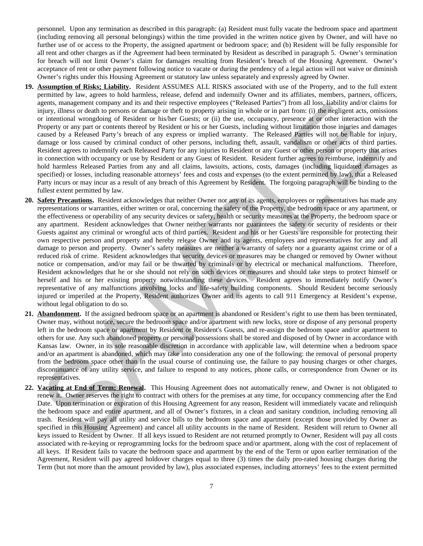personnel. Upon any termination as described in this paragraph: (a) Resident must fully vacate the bedroom space and apartment (including removing all personal belongings) within the time provided in the written notice given by Owner, and will have no further use of or access to the Property, the assigned apartment or bedroom space; and (b) Resident will be fully responsible for all rent and other charges as if the Agreement had been terminated by Resident as described in paragraph 5. Owner's termination for breach will not limit Owner's claim for damages resulting from Resident's breach of the Housing Agreement. Owner's acceptance of rent or other payment following notice to vacate or during the pendency of a legal action will not waive or diminish Owner's rights under this Housing Agreement or statutory law unless separately and expressly agreed by Owner.

- **19. Assumption of Risks; Liability.** Resident ASSUMES ALL RISKS associated with use of the Property, and to the full extent permitted by law, agrees to hold harmless, release, defend and indemnify Owner and its affiliates, members, partners, officers, agents, management company and its and their respective employees ("Released Parties") from all loss, liability and/or claims for injury, illness or death to persons or damage or theft to property arising in whole or in part from: (i) the negligent acts, omissions or intentional wrongdoing of Resident or his/her Guests; or (ii) the use, occupancy, presence at or other interaction with the Property or any part or contents thereof by Resident or his or her Guests, including without limitation those injuries and damages caused by a Released Party's breach of any express or implied warranty. The Released Parties will not be liable for injury, damage or loss caused by criminal conduct of other persons, including theft, assault, vandalism or other acts of third parties. Resident agrees to indemnify each Released Party for any injuries to Resident or any Guest or other person or property that arises in connection with occupancy or use by Resident or any Guest of Resident. Resident further agrees to reimburse, indemnify and hold harmless Released Parties from any and all claims, lawsuits, actions, costs, damages (including liquidated damages as specified) or losses, including reasonable attorneys' fees and costs and expenses (to the extent permitted by law), that a Released Party incurs or may incur as a result of any breach of this Agreement by Resident. The forgoing paragraph will be binding to the fullest extent permitted by law.
- **20. Safety Precautions.** Resident acknowledges that neither Owner nor any of its agents, employees or representatives has made any representations or warranties, either written or oral, concerning the safety of the Property, the bedroom space or any apartment, or the effectiveness or operability of any security devices or safety, health or security measures at the Property, the bedroom space or any apartment. Resident acknowledges that Owner neither warrants nor guarantees the safety or security of residents or their Guests against any criminal or wrongful acts of third parties. Resident and his or her Guests are responsible for protecting their own respective person and property and hereby release Owner and its agents, employees and representatives for any and all damage to person and property. Owner's safety measures are neither a warranty of safety nor a guaranty against crime or of a reduced risk of crime. Resident acknowledges that security devices or measures may be changed or removed by Owner without notice or compensation, and/or may fail or be thwarted by criminals or by electrical or mechanical malfunctions. Therefore, Resident acknowledges that he or she should not rely on such devices or measures and should take steps to protect himself or herself and his or her existing property notwithstanding these devices. Resident agrees to immediately notify Owner's representative of any malfunctions involving locks and life-safety building components. Should Resident become seriously injured or imperiled at the Property, Resident authorizes Owner and its agents to call 911 Emergency at Resident's expense, without legal obligation to do so. agent, management compary and its and dust respective employees (Nelses at Parties) then all loss, units and consider a consideration of the consideration of the consideration of the consideration of the consideration of t
- **21. Abandonment.** If the assigned bedroom space or an apartment is abandoned or Resident's right to use them has been terminated, Owner may, without notice, secure the bedroom space and/or apartment with new locks, store or dispose of any personal property left in the bedroom space or apartment by Resident or Resident's Guests, and re-assign the bedroom space and/or apartment to others for use. Any such abandoned property or personal possessions shall be stored and disposed of by Owner in accordance with Kansas law. Owner, in its sole reasonable discretion in accordance with applicable law, will determine when a bedroom space and/or an apartment is abandoned, which may take into consideration any one of the following: the removal of personal property from the bedroom space other than in the usual course of continuing use, the failure to pay housing charges or other charges, discontinuance of any utility service, and failure to respond to any notices, phone calls, or correspondence from Owner or its representatives.
- **22. Vacating at End of Term; Renewal.** This Housing Agreement does not automatically renew, and Owner is not obligated to renew it. Owner reserves the right to contract with others for the premises at any time, for occupancy commencing after the End Date. Upon termination or expiration of this Housing Agreement for any reason, Resident will immediately vacate and relinquish the bedroom space and entire apartment, and all of Owner's fixtures, in a clean and sanitary condition, including removing all trash. Resident will pay all utility and service bills to the bedroom space and apartment (except those provided by Owner as specified in this Housing Agreement) and cancel all utility accounts in the name of Resident. Resident will return to Owner all keys issued to Resident by Owner. If all keys issued to Resident are not returned promptly to Owner, Resident will pay all costs associated with re-keying or reprogramming locks for the bedroom space and/or apartment, along with the cost of replacement of all keys. If Resident fails to vacate the bedroom space and apartment by the end of the Term or upon earlier termination of the Agreement, Resident will pay agreed holdover charges equal to three (3) times the daily pro-rated housing charges during the Term (but not more than the amount provided by law), plus associated expenses, including attorneys' fees to the extent permitted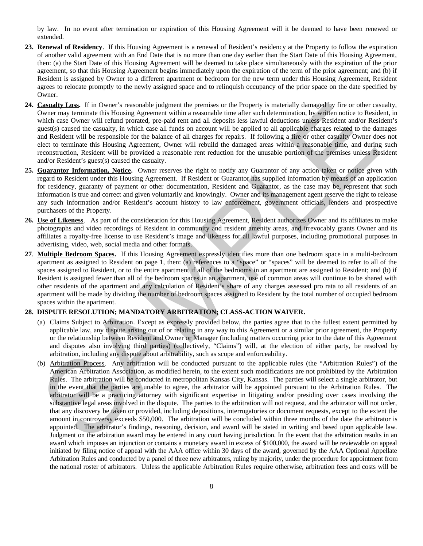by law. In no event after termination or expiration of this Housing Agreement will it be deemed to have been renewed or extended.

- **23. Renewal of Residency**. If this Housing Agreement is a renewal of Resident's residency at the Property to follow the expiration of another valid agreement with an End Date that is no more than one day earlier than the Start Date of this Housing Agreement, then: (a) the Start Date of this Housing Agreement will be deemed to take place simultaneously with the expiration of the prior agreement, so that this Housing Agreement begins immediately upon the expiration of the term of the prior agreement; and (b) if Resident is assigned by Owner to a different apartment or bedroom for the new term under this Housing Agreement, Resident agrees to relocate promptly to the newly assigned space and to relinquish occupancy of the prior space on the date specified by Owner.
- **24. Casualty Loss.** If in Owner's reasonable judgment the premises or the Property is materially damaged by fire or other casualty, Owner may terminate this Housing Agreement within a reasonable time after such determination, by written notice to Resident, in which case Owner will refund prorated, pre-paid rent and all deposits less lawful deductions unless Resident and/or Resident's guest(s) caused the casualty, in which case all funds on account will be applied to all applicable charges related to the damages and Resident will be responsible for the balance of all charges for repairs. If following a fire or other casualty Owner does not elect to terminate this Housing Agreement, Owner will rebuild the damaged areas within a reasonable time, and during such reconstruction, Resident will be provided a reasonable rent reduction for the unusable portion of the premises unless Resident and/or Resident's guest(s) caused the casualty.
- **25. Guarantor Information, Notice.** Owner reserves the right to notify any Guarantor of any action taken or notice given with regard to Resident under this Housing Agreement. If Resident or Guarantor has supplied information by means of an application for residency, guaranty of payment or other documentation, Resident and Guarantor, as the case may be, represent that such information is true and correct and given voluntarily and knowingly. Owner and its management agent reserve the right to release any such information and/or Resident's account history to law enforcement, government officials, lenders and prospective purchasers of the Property.
- **26. Use of Likeness**. As part of the consideration for this Housing Agreement, Resident authorizes Owner and its affiliates to make photographs and video recordings of Resident in community and resident amenity areas, and irrevocably grants Owner and its affiliates a royalty-free license to use Resident's image and likeness for all lawful purposes, including promotional purposes in advertising, video, web, social media and other formats.
- **27**. **Multiple Bedroom Spaces.** If this Housing Agreement expressly identifies more than one bedroom space in a multi-bedroom apartment as assigned to Resident on page 1, then: (a) references to a "space" or "spaces" will be deemed to refer to all of the spaces assigned to Resident, or to the entire apartment if all of the bedrooms in an apartment are assigned to Resident; and (b) if Resident is assigned fewer than all of the bedroom spaces in an apartment, use of common areas will continue to be shared with other residents of the apartment and any calculation of Resident's share of any charges assessed pro rata to all residents of an apartment will be made by dividing the number of bedroom spaces assigned to Resident by the total number of occupied bedroom spaces within the apartment.

# **28. DISPUTE RESOLUTION; MANDATORY ARBITRATION; CLASS-ACTION WAIVER.**

- (a) Claims Subject to Arbitration. Except as expressly provided below, the parties agree that to the fullest extent permitted by applicable law, any dispute arising out of or relating in any way to this Agreement or a similar prior agreement, the Property or the relationship between Resident and Owner or Manager (including matters occurring prior to the date of this Agreement and disputes also involving third parties) (collectively, "Claims") will, at the election of either party, be resolved by arbitration, including any dispute about arbitrability, such as scope and enforceability.
- (b) Arbitration Process. Any arbitration will be conducted pursuant to the applicable rules (the "Arbitration Rules") of the American Arbitration Association, as modified herein, to the extent such modifications are not prohibited by the Arbitration Rules. The arbitration will be conducted in metropolitan Kansas City, Kansas. The parties will select a single arbitrator, but in the event that the parties are unable to agree, the arbitrator will be appointed pursuant to the Arbitration Rules. The arbitrator will be a practicing attorney with significant expertise in litigating and/or presiding over cases involving the substantive legal areas involved in the dispute. The parties to the arbitration will not request, and the arbitrator will not order, that any discovery be taken or provided, including depositions, interrogatories or document requests, except to the extent the amount in controversy exceeds \$50,000. The arbitration will be concluded within three months of the date the arbitrator is appointed. The arbitrator's findings, reasoning, decision, and award will be stated in writing and based upon applicable law. Judgment on the arbitration award may be entered in any court having jurisdiction. In the event that the arbitration results in an award which imposes an injunction or contains a monetary award in excess of \$100,000, the award will be reviewable on appeal initiated by filing notice of appeal with the AAA office within 30 days of the award, governed by the AAA Optional Appellate Arbitration Rules and conducted by a panel of three new arbitrators, ruling by majority, under the procedure for appointment from the national roster of arbitrators. Unless the applicable Arbitration Rules require otherwise, arbitration fees and costs will be **Cause II:** It forwars treates meantle budgment the premient of the Property in metriculy demands of the formation of the content content of the content of the content of the content of the content of the content of the c